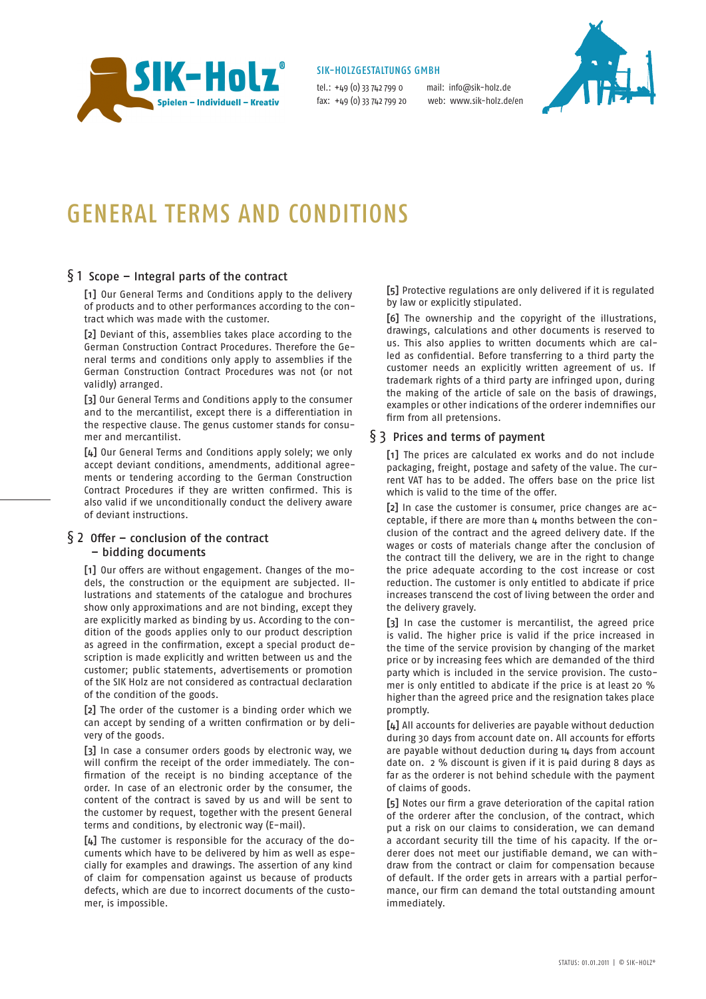

#### SIK-HOLZGESTALTUNGS GMBH

tel.: +49 (0) 33 742 799 0 mail: info@sik-holz.de fax: +49 (0) 33 742 799 20 web: www.sik-holz.de/en



# General terms and conditions

# § 1 Scope – Integral parts of the contract

[1] Our General Terms and Conditions apply to the delivery of products and to other performances according to the contract which was made with the customer.

[2] Deviant of this, assemblies takes place according to the German Construction Contract Procedures. Therefore the General terms and conditions only apply to assemblies if the German Construction Contract Procedures was not (or not validly) arranged.

[3] Our General Terms and Conditions apply to the consumer and to the mercantilist, except there is a differentiation in the respective clause. The genus customer stands for consumer and mercantilist.

[4] Our General Terms and Conditions apply solely; we only accept deviant conditions, amendments, additional agreements or tendering according to the German Construction Contract Procedures if they are written confirmed. This is also valid if we unconditionally conduct the delivery aware of deviant instructions.

# § 2 Offer – conclusion of the contract

# – bidding documents

[1] Our offers are without engagement. Changes of the models, the construction or the equipment are subjected. Illustrations and statements of the catalogue and brochures show only approximations and are not binding, except they are explicitly marked as binding by us. According to the condition of the goods applies only to our product description as agreed in the confirmation, except a special product description is made explicitly and written between us and the customer; public statements, advertisements or promotion of the SIK Holz are not considered as contractual declaration of the condition of the goods.

[2] The order of the customer is a binding order which we can accept by sending of a written confirmation or by delivery of the goods.

[3] In case a consumer orders goods by electronic way, we will confirm the receipt of the order immediately. The confirmation of the receipt is no binding acceptance of the order. In case of an electronic order by the consumer, the content of the contract is saved by us and will be sent to the customer by request, together with the present General terms and conditions, by electronic way (E-mail).

[4] The customer is responsible for the accuracy of the documents which have to be delivered by him as well as especially for examples and drawings. The assertion of any kind of claim for compensation against us because of products defects, which are due to incorrect documents of the customer, is impossible.

[5] Protective regulations are only delivered if it is regulated by law or explicitly stipulated.

[6] The ownership and the copyright of the illustrations, drawings, calculations and other documents is reserved to us. This also applies to written documents which are called as confidential. Before transferring to a third party the customer needs an explicitly written agreement of us. If trademark rights of a third party are infringed upon, during the making of the article of sale on the basis of drawings, examples or other indications of the orderer indemnifies our firm from all pretensions.

# § 3 Prices and terms of payment

[1] The prices are calculated ex works and do not include packaging, freight, postage and safety of the value. The current VAT has to be added. The offers base on the price list which is valid to the time of the offer.

[2] In case the customer is consumer, price changes are acceptable, if there are more than 4 months between the conclusion of the contract and the agreed delivery date. If the wages or costs of materials change after the conclusion of the contract till the delivery, we are in the right to change the price adequate according to the cost increase or cost reduction. The customer is only entitled to abdicate if price increases transcend the cost of living between the order and the delivery gravely.

[3] In case the customer is mercantilist, the agreed price is valid. The higher price is valid if the price increased in the time of the service provision by changing of the market price or by increasing fees which are demanded of the third party which is included in the service provision. The customer is only entitled to abdicate if the price is at least 20 % higher than the agreed price and the resignation takes place promptly.

[4] All accounts for deliveries are payable without deduction during 30 days from account date on. All accounts for efforts are payable without deduction during 14 days from account date on. 2 % discount is given if it is paid during 8 days as far as the orderer is not behind schedule with the payment of claims of goods.

[5] Notes our firm a grave deterioration of the capital ration of the orderer after the conclusion, of the contract, which put a risk on our claims to consideration, we can demand a accordant security till the time of his capacity. If the orderer does not meet our justifiable demand, we can withdraw from the contract or claim for compensation because of default. If the order gets in arrears with a partial performance, our firm can demand the total outstanding amount immediately.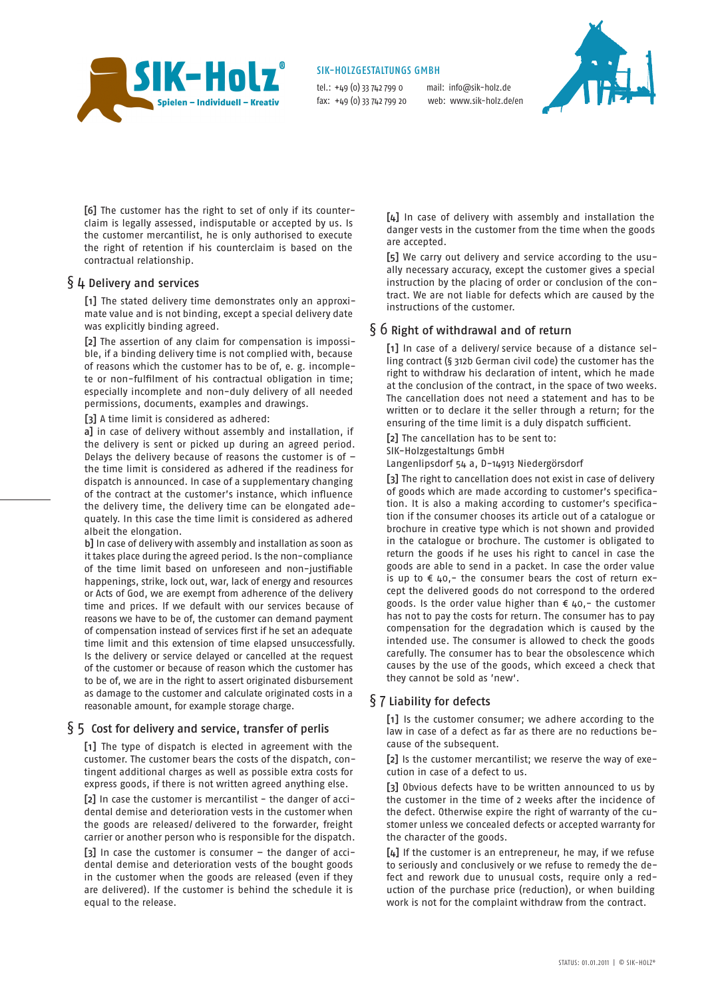

#### SIK-HOLZGESTALTUNGS GMBH

tel.: +49 (0) 33 742 799 0 mail: info@sik-holz.de fax: +49 (0) 33 742 799 20 web: www.sik-holz.de/en



[6] The customer has the right to set of only if its counterclaim is legally assessed, indisputable or accepted by us. Is the customer mercantilist, he is only authorised to execute the right of retention if his counterclaim is based on the contractual relationship.

#### § 4 Delivery and services

[1] The stated delivery time demonstrates only an approximate value and is not binding, except a special delivery date was explicitly binding agreed.

[2] The assertion of any claim for compensation is impossible, if a binding delivery time is not complied with, because of reasons which the customer has to be of, e. g. incomplete or non-fulfilment of his contractual obligation in time; especially incomplete and non-duly delivery of all needed permissions, documents, examples and drawings.

[3] A time limit is considered as adhered:

a] in case of delivery without assembly and installation, if the delivery is sent or picked up during an agreed period. Delays the delivery because of reasons the customer is of – the time limit is considered as adhered if the readiness for dispatch is announced. In case of a supplementary changing of the contract at the customer's instance, which influence the delivery time, the delivery time can be elongated adequately. In this case the time limit is considered as adhered albeit the elongation.

b] In case of delivery with assembly and installation as soon as it takes place during the agreed period. Is the non-compliance of the time limit based on unforeseen and non-justifiable happenings, strike, lock out, war, lack of energy and resources or Acts of God, we are exempt from adherence of the delivery time and prices. If we default with our services because of reasons we have to be of, the customer can demand payment of compensation instead of services first if he set an adequate time limit and this extension of time elapsed unsuccessfully. Is the delivery or service delayed or cancelled at the request of the customer or because of reason which the customer has to be of, we are in the right to assert originated disbursement as damage to the customer and calculate originated costs in a reasonable amount, for example storage charge.

#### $§$  5 Cost for delivery and service, transfer of perlis

[1] The type of dispatch is elected in agreement with the customer. The customer bears the costs of the dispatch, contingent additional charges as well as possible extra costs for express goods, if there is not written agreed anything else.

[2] In case the customer is mercantilist - the danger of accidental demise and deterioration vests in the customer when the goods are released/ delivered to the forwarder, freight carrier or another person who is responsible for the dispatch.

[3] In case the customer is consumer – the danger of accidental demise and deterioration vests of the bought goods in the customer when the goods are released (even if they are delivered). If the customer is behind the schedule it is equal to the release.

[µ] In case of delivery with assembly and installation the danger vests in the customer from the time when the goods are accepted.

[5] We carry out delivery and service according to the usually necessary accuracy, except the customer gives a special instruction by the placing of order or conclusion of the contract. We are not liable for defects which are caused by the instructions of the customer.

# § 6 Right of withdrawal and of return

[1] In case of a delivery/ service because of a distance selling contract (§ 312b German civil code) the customer has the right to withdraw his declaration of intent, which he made at the conclusion of the contract, in the space of two weeks. The cancellation does not need a statement and has to be written or to declare it the seller through a return; for the ensuring of the time limit is a duly dispatch sufficient.

[2] The cancellation has to be sent to:

SIK-Holzgestaltungs GmbH

Langenlipsdorf 54 a, D-14913 Niedergörsdorf

[3] The right to cancellation does not exist in case of delivery of goods which are made according to customer's specification. It is also a making according to customer's specification if the consumer chooses its article out of a catalogue or brochure in creative type which is not shown and provided in the catalogue or brochure. The customer is obligated to return the goods if he uses his right to cancel in case the goods are able to send in a packet. In case the order value is up to  $\epsilon$  40,- the consumer bears the cost of return except the delivered goods do not correspond to the ordered goods. Is the order value higher than  $\epsilon$  40,- the customer has not to pay the costs for return. The consumer has to pay compensation for the degradation which is caused by the intended use. The consumer is allowed to check the goods carefully. The consumer has to bear the obsolescence which causes by the use of the goods, which exceed a check that they cannot be sold as 'new'.

#### § 7 Liability for defects

[1] Is the customer consumer; we adhere according to the law in case of a defect as far as there are no reductions because of the subsequent.

[2] Is the customer mercantilist; we reserve the way of execution in case of a defect to us.

[3] Obvious defects have to be written announced to us by the customer in the time of 2 weeks after the incidence of the defect. Otherwise expire the right of warranty of the customer unless we concealed defects or accepted warranty for the character of the goods.

[4] If the customer is an entrepreneur, he may, if we refuse to seriously and conclusively or we refuse to remedy the defect and rework due to unusual costs, require only a reduction of the purchase price (reduction), or when building work is not for the complaint withdraw from the contract.